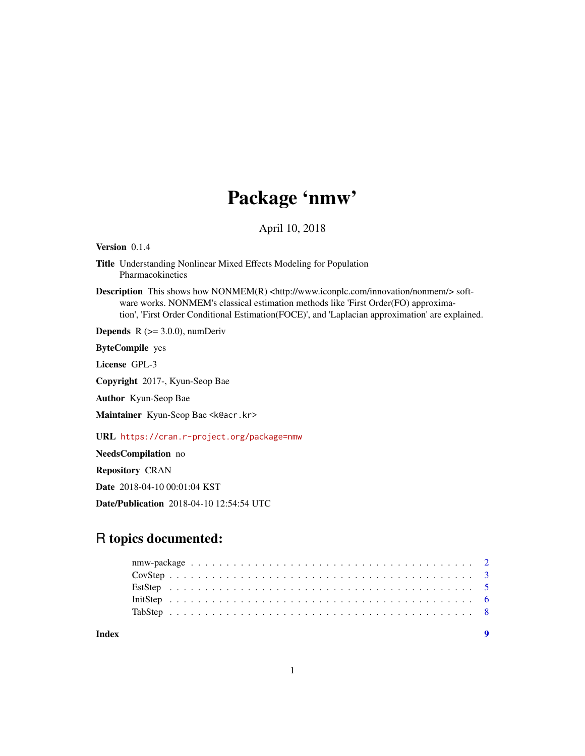## Package 'nmw'

April 10, 2018

Version 0.1.4

Title Understanding Nonlinear Mixed Effects Modeling for Population Pharmacokinetics

Description This shows how NONMEM(R) <http://www.iconplc.com/innovation/nonmem/> software works. NONMEM's classical estimation methods like 'First Order(FO) approximation', 'First Order Conditional Estimation(FOCE)', and 'Laplacian approximation' are explained.

**Depends** R  $(>= 3.0.0)$ , numDeriv

ByteCompile yes

License GPL-3

Copyright 2017-, Kyun-Seop Bae

Author Kyun-Seop Bae

Maintainer Kyun-Seop Bae <k@acr.kr>

URL <https://cran.r-project.org/package=nmw>

NeedsCompilation no

Repository CRAN

Date 2018-04-10 00:01:04 KST

Date/Publication 2018-04-10 12:54:54 UTC

## R topics documented:

| Index |  |  |  |  |  |  |  |  |  |  |  |  |  |  |  |  |  |  |  |  |
|-------|--|--|--|--|--|--|--|--|--|--|--|--|--|--|--|--|--|--|--|--|
|       |  |  |  |  |  |  |  |  |  |  |  |  |  |  |  |  |  |  |  |  |
|       |  |  |  |  |  |  |  |  |  |  |  |  |  |  |  |  |  |  |  |  |
|       |  |  |  |  |  |  |  |  |  |  |  |  |  |  |  |  |  |  |  |  |
|       |  |  |  |  |  |  |  |  |  |  |  |  |  |  |  |  |  |  |  |  |
|       |  |  |  |  |  |  |  |  |  |  |  |  |  |  |  |  |  |  |  |  |

1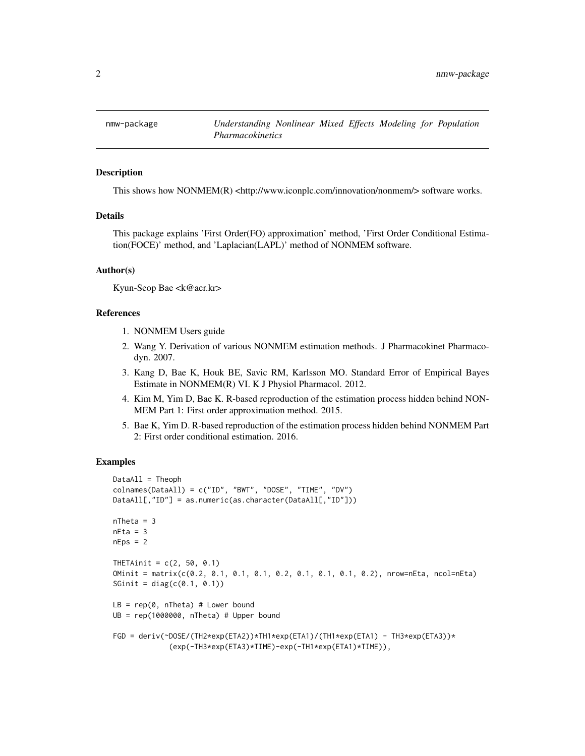<span id="page-1-0"></span>

This shows how  $NONMEM(R) <http://www.iconplc.com/innovation/nonmem/>softmaxs>.$ 

#### Details

This package explains 'First Order(FO) approximation' method, 'First Order Conditional Estimation(FOCE)' method, and 'Laplacian(LAPL)' method of NONMEM software.

#### Author(s)

Kyun-Seop Bae <k@acr.kr>

#### References

- 1. NONMEM Users guide
- 2. Wang Y. Derivation of various NONMEM estimation methods. J Pharmacokinet Pharmacodyn. 2007.
- 3. Kang D, Bae K, Houk BE, Savic RM, Karlsson MO. Standard Error of Empirical Bayes Estimate in NONMEM(R) VI. K J Physiol Pharmacol. 2012.
- 4. Kim M, Yim D, Bae K. R-based reproduction of the estimation process hidden behind NON-MEM Part 1: First order approximation method. 2015.
- 5. Bae K, Yim D. R-based reproduction of the estimation process hidden behind NONMEM Part 2: First order conditional estimation. 2016.

#### Examples

```
DataAll = Theoph
colnames(DataAll) = c("ID", "BWT", "DOSE", "TIME", "DV")
DataAll[,"ID"] = as.numeric(as.character(DataAll[,"ID"]))
nTheta = 3nEta = 3nEps = 2THETAinit = c(2, 50, 0.1)OMinit = matrix(c(0.2, 0.1, 0.1, 0.1, 0.2, 0.1, 0.1, 0.1, 0.2), nrow=nEta, ncol=nEta)
SGinit = diag(c(0.1, 0.1))LB = rep(0, nTheta) # Lower boundUB = rep(1000000, nTheta) # Upper bound
FGD = deriv(~DOSE/(TH2*exp(ETA2))*TH1*exp(ETA1)/(TH1*exp(ETA1) - TH3*exp(ETA3))*
             (exp(-TH3*exp(ETA3)*TIME)-exp(-TH1*exp(ETA1)*TIME)),
```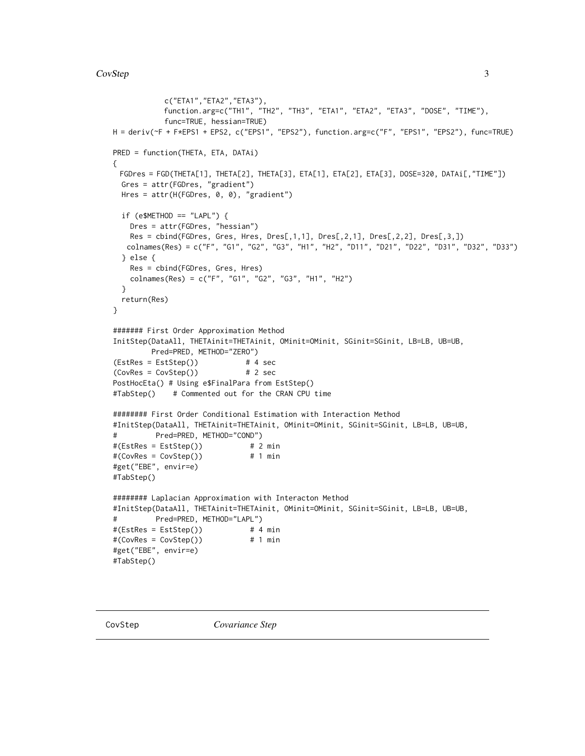```
c("ETA1","ETA2","ETA3"),
           function.arg=c("TH1", "TH2", "TH3", "ETA1", "ETA2", "ETA3", "DOSE", "TIME"),
           func=TRUE, hessian=TRUE)
H = deriv(~F + F*EPS1 + EPS2, c("EPS1", "EPS2"), function.arg=c("F", "EPS1", "EPS2"), func=TRUE)
PRED = function(THETA, ETA, DATAi)
{
 FGDres = FGD(THETA[1], THETA[2], THETA[3], ETA[1], ETA[2], ETA[3], DOSE=320, DATAi[,"TIME"])
 Gres = attr(FGDres, "gradient")
 Hres = attr(H(FGDres, 0, 0), "gradient")
 if (e$METHOD == "LAPL") {Dres = attr(FGDres, "hessian")
   Res = cbind(FGDres, Gres, Hres, Dres[,1,1], Dres[,2,1], Dres[,2,2], Dres[,3,])
   colnames(Res) = c("F", "G1", "G2", "G3", "H1", "H2", "D11", "D21", "D22", "D31", "D32", "D33")
 } else {
   Res = cbind(FGDres, Gres, Hres)
   colnames(Res) = c("F", "G1", "G2", "G3", "H1", "H2")
 }
 return(Res)
}
####### First Order Approximation Method
InitStep(DataAll, THETAinit=THETAinit, OMinit=OMinit, SGinit=SGinit, LB=LB, UB=UB,
        Pred=PRED, METHOD="ZERO")
(EstRes = EstStep()) # 4 sec
(CovRes = CovStep()) # 2 sec
PostHocEta() # Using e$FinalPara from EstStep()
#TabStep() # Commented out for the CRAN CPU time
######## First Order Conditional Estimation with Interaction Method
#InitStep(DataAll, THETAinit=THETAinit, OMinit=OMinit, SGinit=SGinit, LB=LB, UB=UB,
# Pred=PRED, METHOD="COND")
#(EstRes = EstStep()) # 2 min
#(CovRes = CovStep()) # 1 min
#get("EBE", envir=e)
#TabStep()
######## Laplacian Approximation with Interacton Method
#InitStep(DataAll, THETAinit=THETAinit, OMinit=OMinit, SGinit=SGinit, LB=LB, UB=UB,
# Pred=PRED, METHOD="LAPL")
#(EstRes = EstStep()) # 4 min
#(CovRes = CovStep()) # 1 min
#get("EBE", envir=e)
#TabStep()
```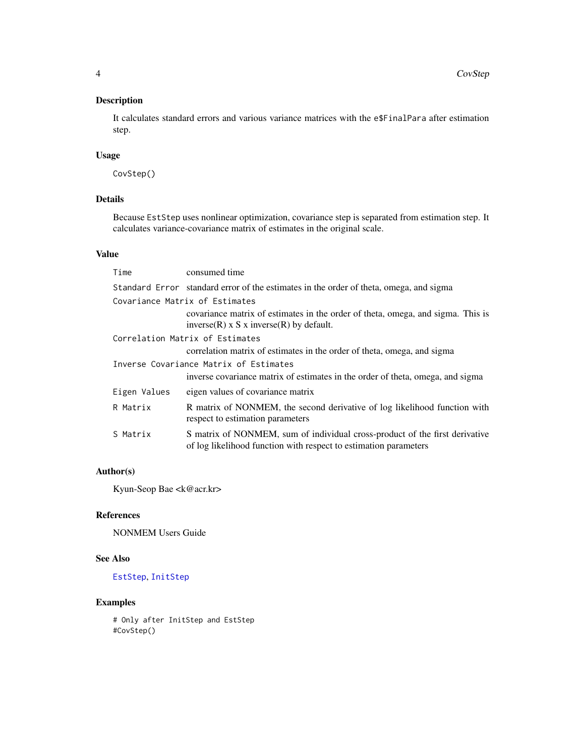<span id="page-3-0"></span>It calculates standard errors and various variance matrices with the e\$FinalPara after estimation step.

## Usage

CovStep()

## Details

Because EstStep uses nonlinear optimization, covariance step is separated from estimation step. It calculates variance-covariance matrix of estimates in the original scale.

## Value

|                                        | Time         | consumed time                                                                                                                                   |  |  |  |  |
|----------------------------------------|--------------|-------------------------------------------------------------------------------------------------------------------------------------------------|--|--|--|--|
|                                        |              | Standard Error standard error of the estimates in the order of theta, omega, and sigma                                                          |  |  |  |  |
|                                        |              | Covariance Matrix of Estimates                                                                                                                  |  |  |  |  |
|                                        |              | covariance matrix of estimates in the order of theta, omega, and sigma. This is<br>$inverse(R)$ x S x inverse $(R)$ by default.                 |  |  |  |  |
|                                        |              | Correlation Matrix of Estimates                                                                                                                 |  |  |  |  |
|                                        |              | correlation matrix of estimates in the order of theta, omega, and sigma                                                                         |  |  |  |  |
| Inverse Covariance Matrix of Estimates |              |                                                                                                                                                 |  |  |  |  |
|                                        |              | inverse covariance matrix of estimates in the order of theta, omega, and sigma                                                                  |  |  |  |  |
|                                        | Eigen Values | eigen values of covariance matrix                                                                                                               |  |  |  |  |
|                                        | R Matrix     | R matrix of NONMEM, the second derivative of log likelihood function with<br>respect to estimation parameters                                   |  |  |  |  |
|                                        | S Matrix     | S matrix of NONMEM, sum of individual cross-product of the first derivative<br>of log likelihood function with respect to estimation parameters |  |  |  |  |
|                                        |              |                                                                                                                                                 |  |  |  |  |

## Author(s)

Kyun-Seop Bae <k@acr.kr>

## References

NONMEM Users Guide

## See Also

[EstStep](#page-4-1), [InitStep](#page-5-1)

## Examples

# Only after InitStep and EstStep #CovStep()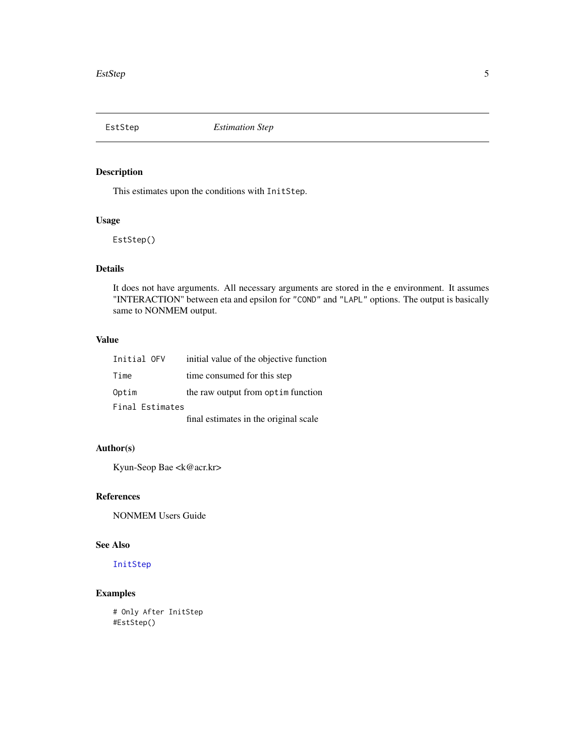<span id="page-4-1"></span><span id="page-4-0"></span>

This estimates upon the conditions with InitStep.

## Usage

EstStep()

## Details

It does not have arguments. All necessary arguments are stored in the e environment. It assumes "INTERACTION" between eta and epsilon for "COND" and "LAPL" options. The output is basically same to NONMEM output.

#### Value

| Initial OFV     | initial value of the objective function |
|-----------------|-----------------------------------------|
| Time            | time consumed for this step             |
| Optim           | the raw output from optim function      |
| Final Estimates |                                         |
|                 | Carl returned in the entriest real of   |

final estimates in the original scale

## Author(s)

Kyun-Seop Bae <k@acr.kr>

## References

NONMEM Users Guide

#### See Also

[InitStep](#page-5-1)

## Examples

# Only After InitStep #EstStep()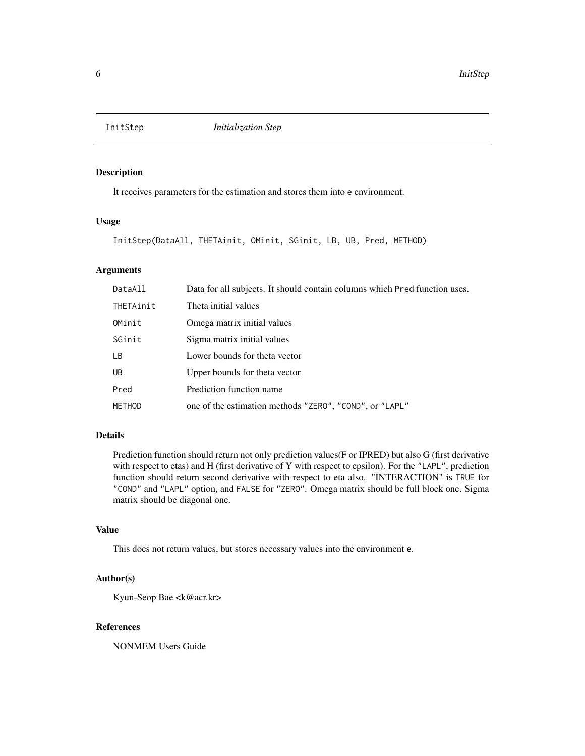<span id="page-5-1"></span><span id="page-5-0"></span>

It receives parameters for the estimation and stores them into e environment.

#### Usage

```
InitStep(DataAll, THETAinit, OMinit, SGinit, LB, UB, Pred, METHOD)
```
#### Arguments

| DataAll   | Data for all subjects. It should contain columns which Pred function uses. |
|-----------|----------------------------------------------------------------------------|
| THETAinit | Theta initial values                                                       |
| OMinit    | Omega matrix initial values                                                |
| SGinit    | Sigma matrix initial values                                                |
| <b>LB</b> | Lower bounds for theta vector                                              |
| UB        | Upper bounds for theta vector                                              |
| Pred      | Prediction function name                                                   |
| METHOD    | one of the estimation methods "ZERO", "COND", or "LAPL"                    |

#### Details

Prediction function should return not only prediction values(F or IPRED) but also G (first derivative with respect to etas) and H (first derivative of Y with respect to epsilon). For the "LAPL", prediction function should return second derivative with respect to eta also. "INTERACTION" is TRUE for "COND" and "LAPL" option, and FALSE for "ZERO". Omega matrix should be full block one. Sigma matrix should be diagonal one.

#### Value

This does not return values, but stores necessary values into the environment e.

## Author(s)

Kyun-Seop Bae <k@acr.kr>

#### References

NONMEM Users Guide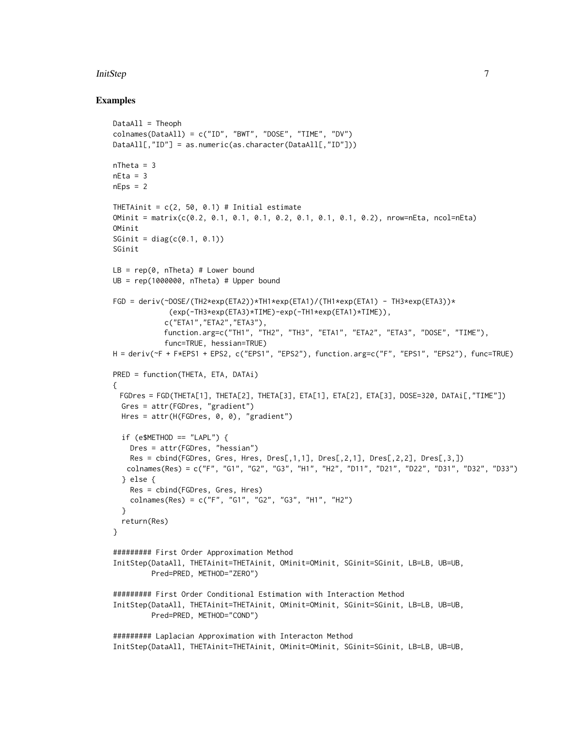#### InitStep 7

#### Examples

```
DataAll = Theoph
colnames(DataAll) = c("ID", "BWT", "DOSE", "TIME", "DV")
DataAll[,"ID"] = as.numeric(as.character(DataAll[,"ID"]))
nTheta = 3nEta = 3nEps = 2THETAinit = c(2, 50, 0.1) # Initial estimate
OMinit = matrix(c(0.2, 0.1, 0.1, 0.1, 0.2, 0.1, 0.1, 0.1, 0.2), nrow=nEta, ncol=nEta)
OMinit
SGinit = diag(c(0.1, 0.1))SGinit
LB = rep(0, nTheta) # Lower boundUB = rep(1000000, nTheta) # Upper bound
FGD = deriv('DOSE/(TH2*exp(ETA2))*TH1*exp(ETA1)/(TH1*exp(ETA1) - TH3*exp(ETA3))*(exp(-TH3*exp(ETA3)*TIME)-exp(-TH1*exp(ETA1)*TIME)),
            c("ETA1","ETA2","ETA3"),
            function.arg=c("TH1", "TH2", "TH3", "ETA1", "ETA2", "ETA3", "DOSE", "TIME"),
            func=TRUE, hessian=TRUE)
H = deriv(~F + F*EPS1 + EPS2, c("EPS1", "EPS2"), function.arg=c("F", "EPS1", "EPS2"), func=TRUE)
PRED = function(THETA, ETA, DATAi)
{
 FGDres = FGD(THETA[1], THETA[2], THETA[3], ETA[1], ETA[2], ETA[3], DOSE=320, DATAi[,"TIME"])
  Gres = attr(FGDres, "gradient")
  Hres = attr(H(FGDres, 0, 0), "gradient")
  if (e$METHOD == "LAPL") {
    Dres = attr(FGDres, "hessian")
    Res = chind(FGDres, Gres, Hres, Dres[, 1, 1], Dres[, 2, 1], Dres[, 2, 2], Dres[, 3, 1)colnames(Res) = c("F", "G1", "G2", "G3", "H1", "H2", "D11", "D21", "D22", "D31", "D32", "D33")
  } else {
    Res = cbind(FGDres, Gres, Hres)
    colnames(Res) = c("F", "G1", "G2", "G3", "H1", "H2")
  }
  return(Res)
}
######### First Order Approximation Method
InitStep(DataAll, THETAinit=THETAinit, OMinit=OMinit, SGinit=SGinit, LB=LB, UB=UB,
         Pred=PRED, METHOD="ZERO")
######### First Order Conditional Estimation with Interaction Method
InitStep(DataAll, THETAinit=THETAinit, OMinit=OMinit, SGinit=SGinit, LB=LB, UB=UB,
         Pred=PRED, METHOD="COND")
######### Laplacian Approximation with Interacton Method
InitStep(DataAll, THETAinit=THETAinit, OMinit=OMinit, SGinit=SGinit, LB=LB, UB=UB,
```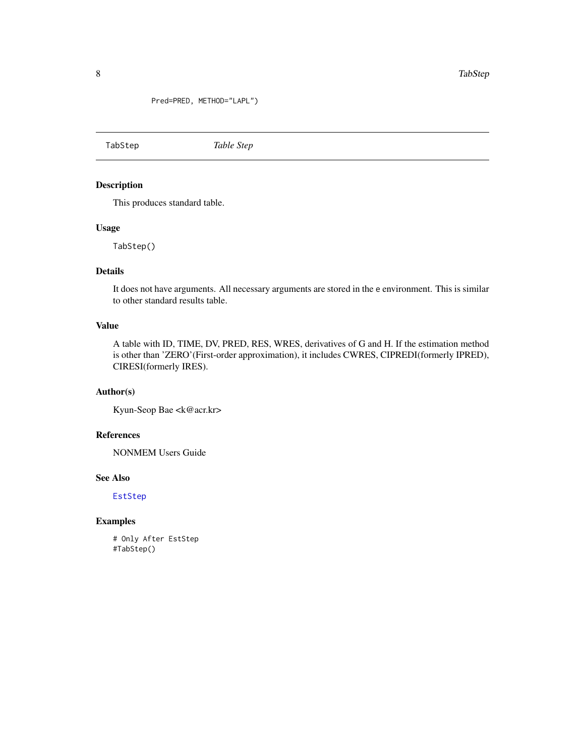<span id="page-7-0"></span>Pred=PRED, METHOD="LAPL")

TabStep *Table Step*

## Description

This produces standard table.

#### Usage

TabStep()

## Details

It does not have arguments. All necessary arguments are stored in the e environment. This is similar to other standard results table.

## Value

A table with ID, TIME, DV, PRED, RES, WRES, derivatives of G and H. If the estimation method is other than 'ZERO'(First-order approximation), it includes CWRES, CIPREDI(formerly IPRED), CIRESI(formerly IRES).

## Author(s)

Kyun-Seop Bae <k@acr.kr>

## References

NONMEM Users Guide

## See Also

[EstStep](#page-4-1)

## Examples

# Only After EstStep #TabStep()